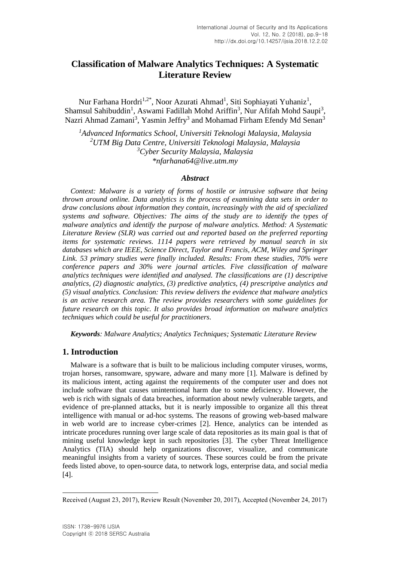# **Classification of Malware Analytics Techniques: A Systematic Literature Review**

Nur Farhana Hordri<sup>1,2\*</sup>, Noor Azurati Ahmad<sup>1</sup>, Siti Sophiayati Yuhaniz<sup>1</sup>, Shamsul Sahibuddin<sup>1</sup>, Aswami Fadillah Mohd Ariffin<sup>3</sup>, Nur Afifah Mohd Saupi<sup>3</sup>, Nazri Ahmad Zamani<sup>3</sup>, Yasmin Jeffry<sup>3</sup> and Mohamad Firham Efendy Md Senan<sup>3</sup>

*Advanced Informatics School, Universiti Teknologi Malaysia, Malaysia UTM Big Data Centre, Universiti Teknologi Malaysia, Malaysia Cyber Security Malaysia, Malaysia \*nfarhana64@live.utm.my*

### *Abstract*

*Context: Malware is a variety of forms of hostile or intrusive software that being thrown around online. Data analytics is the process of examining data sets in order to draw conclusions about information they contain, increasingly with the aid of specialized systems and software. Objectives: The aims of the study are to identify the types of malware analytics and identify the purpose of malware analytics. Method: A Systematic Literature Review (SLR) was carried out and reported based on the preferred reporting items for systematic reviews. 1114 papers were retrieved by manual search in six databases which are IEEE, Science Direct, Taylor and Francis, ACM, Wiley and Springer Link. 53 primary studies were finally included. Results: From these studies, 70% were conference papers and 30% were journal articles. Five classification of malware analytics techniques were identified and analysed. The classifications are (1) descriptive analytics, (2) diagnostic analytics, (3) predictive analytics, (4) prescriptive analytics and (5) visual analytics. Conclusion: This review delivers the evidence that malware analytics is an active research area. The review provides researchers with some guidelines for future research on this topic. It also provides broad information on malware analytics techniques which could be useful for practitioners.* 

*Keywords: Malware Analytics; Analytics Techniques; Systematic Literature Review*

# **1. Introduction**

Malware is a software that is built to be malicious including computer viruses, worms, trojan horses, ransomware, spyware, adware and many more [1]. Malware is defined by its malicious intent, acting against the requirements of the computer user and does not include software that causes unintentional harm due to some deficiency. However, the web is rich with signals of data breaches, information about newly vulnerable targets, and evidence of pre-planned attacks, but it is nearly impossible to organize all this threat intelligence with manual or ad-hoc systems. The reasons of growing web-based malware in web world are to increase cyber-crimes [2]. Hence, analytics can be intended as intricate procedures running over large scale of data repositories as its main goal is that of mining useful knowledge kept in such repositories [3]. The cyber Threat Intelligence Analytics (TIA) should help organizations discover, visualize, and communicate meaningful insights from a variety of sources. These sources could be from the private feeds listed above, to open-source data, to network logs, enterprise data, and social media [4].

l

Received (August 23, 2017), Review Result (November 20, 2017), Accepted (November 24, 2017)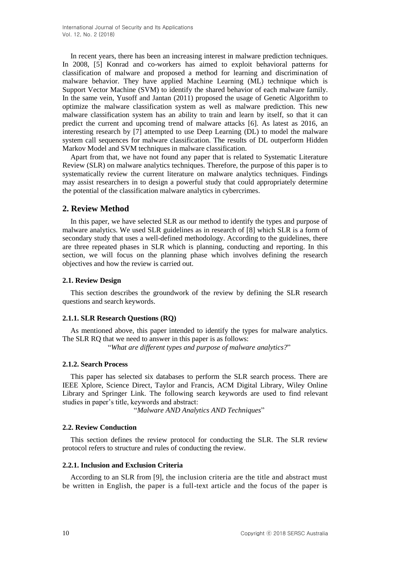In recent years, there has been an increasing interest in malware prediction techniques. In 2008, [5] Konrad and co-workers has aimed to exploit behavioral patterns for classification of malware and proposed a method for learning and discrimination of malware behavior. They have applied Machine Learning (ML) technique which is Support Vector Machine (SVM) to identify the shared behavior of each malware family. In the same vein, Yusoff and Jantan (2011) proposed the usage of Genetic Algorithm to optimize the malware classification system as well as malware prediction. This new malware classification system has an ability to train and learn by itself, so that it can predict the current and upcoming trend of malware attacks [6]. As latest as 2016, an interesting research by [7] attempted to use Deep Learning (DL) to model the malware system call sequences for malware classification. The results of DL outperform Hidden Markov Model and SVM techniques in malware classification.

Apart from that, we have not found any paper that is related to Systematic Literature Review (SLR) on malware analytics techniques. Therefore, the purpose of this paper is to systematically review the current literature on malware analytics techniques. Findings may assist researchers in to design a powerful study that could appropriately determine the potential of the classification malware analytics in cybercrimes.

## **2. Review Method**

In this paper, we have selected SLR as our method to identify the types and purpose of malware analytics. We used SLR guidelines as in research of [8] which SLR is a form of secondary study that uses a well-defined methodology. According to the guidelines, there are three repeated phases in SLR which is planning, conducting and reporting. In this section, we will focus on the planning phase which involves defining the research objectives and how the review is carried out.

### **2.1. Review Design**

This section describes the groundwork of the review by defining the SLR research questions and search keywords.

## **2.1.1. SLR Research Questions (RQ)**

As mentioned above, this paper intended to identify the types for malware analytics. The SLR RQ that we need to answer in this paper is as follows:

"*What are different types and purpose of malware analytics?*"

### **2.1.2. Search Process**

This paper has selected six databases to perform the SLR search process. There are IEEE Xplore, Science Direct, Taylor and Francis, ACM Digital Library, Wiley Online Library and Springer Link. The following search keywords are used to find relevant studies in paper's title, keywords and abstract:

"*Malware AND Analytics AND Techniques*"

### **2.2. Review Conduction**

This section defines the review protocol for conducting the SLR. The SLR review protocol refers to structure and rules of conducting the review.

### **2.2.1. Inclusion and Exclusion Criteria**

According to an SLR from [9], the inclusion criteria are the title and abstract must be written in English, the paper is a full-text article and the focus of the paper is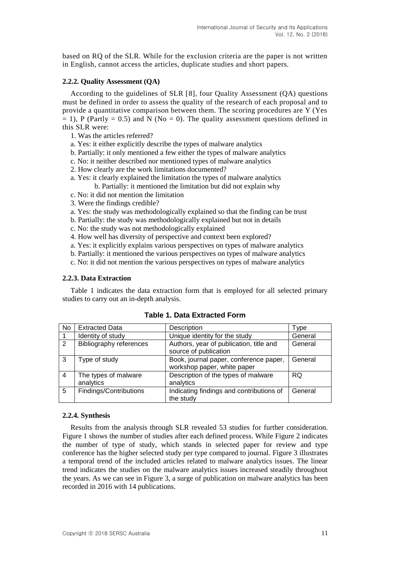based on RQ of the SLR. While for the exclusion criteria are the paper is not written in English, cannot access the articles, duplicate studies and short papers.

### **2.2.2. Quality Assessment (QA)**

According to the guidelines of SLR [8], four Quality Assessment (QA) questions must be defined in order to assess the quality of the research of each proposal and to provide a quantitative comparison between them. The scoring procedures are Y (Yes  $= 1$ ), P (Partly  $= 0.5$ ) and N (No  $= 0$ ). The quality assessment questions defined in this SLR were:

- 1. Was the articles referred?
- a. Yes: it either explicitly describe the types of malware analytics
- b. Partially: it only mentioned a few either the types of malware analytics
- c. No: it neither described nor mentioned types of malware analytics
- 2. How clearly are the work limitations documented?
- a. Yes: it clearly explained the limitation the types of malware analytics
	- b. Partially: it mentioned the limitation but did not explain why
- c. No: it did not mention the limitation
- 3. Were the findings credible?
- a. Yes: the study was methodologically explained so that the finding can be trust
- b. Partially: the study was methodologically explained but not in details
- c. No: the study was not methodologically explained
- 4. How well has diversity of perspective and context been explored?
- a. Yes: it explicitly explains various perspectives on types of malware analytics
- b. Partially: it mentioned the various perspectives on types of malware analytics
- c. No: it did not mention the various perspectives on types of malware analytics

### **2.2.3. Data Extraction**

Table 1 indicates the data extraction form that is employed for all selected primary studies to carry out an in-depth analysis.

| No             | <b>Extracted Data</b>             | Description                                                           | Type    |
|----------------|-----------------------------------|-----------------------------------------------------------------------|---------|
|                | Identity of study                 | Unique identity for the study                                         | General |
| 2              | <b>Bibliography references</b>    | Authors, year of publication, title and<br>source of publication      | General |
| -3             | Type of study                     | Book, journal paper, conference paper,<br>workshop paper, white paper | General |
| $\overline{4}$ | The types of malware<br>analytics | Description of the types of malware<br>analytics                      | RQ.     |
| -5             | Findings/Contributions            | Indicating findings and contributions of<br>the study                 | General |

**Table 1. Data Extracted Form**

### **2.2.4. Synthesis**

Results from the analysis through SLR revealed 53 studies for further consideration. Figure 1 shows the number of studies after each defined process. While Figure 2 indicates the number of type of study, which stands in selected paper for review and type conference has the higher selected study per type compared to journal. Figure 3 illustrates a temporal trend of the included articles related to malware analytics issues. The linear trend indicates the studies on the malware analytics issues increased steadily throughout the years. As we can see in Figure 3, a surge of publication on malware analytics has been recorded in 2016 with 14 publications.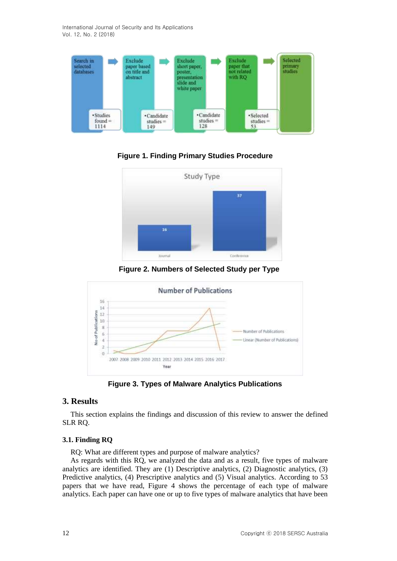International Journal of Security and Its Applications Vol. 12, No. 2 (2018)



**Figure 1. Finding Primary Studies Procedure**



**Figure 2. Numbers of Selected Study per Type**



**Figure 3. Types of Malware Analytics Publications**

# **3. Results**

This section explains the findings and discussion of this review to answer the defined SLR RQ.

# **3.1. Finding RQ**

RQ: What are different types and purpose of malware analytics?

As regards with this RQ, we analyzed the data and as a result, five types of malware analytics are identified. They are (1) Descriptive analytics, (2) Diagnostic analytics, (3) Predictive analytics, (4) Prescriptive analytics and (5) Visual analytics. According to 53 papers that we have read, Figure 4 shows the percentage of each type of malware analytics. Each paper can have one or up to five types of malware analytics that have been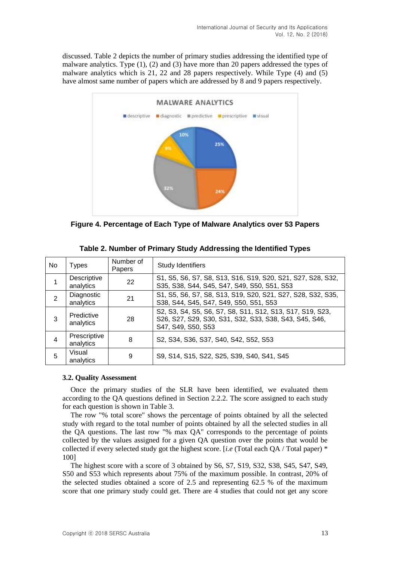discussed. Table 2 depicts the number of primary studies addressing the identified type of malware analytics. Type (1), (2) and (3) have more than 20 papers addressed the types of malware analytics which is 21, 22 and 28 papers respectively. While Type (4) and (5) have almost same number of papers which are addressed by 8 and 9 papers respectively.



**Figure 4. Percentage of Each Type of Malware Analytics over 53 Papers**

| No. | Types                     | Number of<br>Papers | <b>Study Identifiers</b>                                                                                                                  |
|-----|---------------------------|---------------------|-------------------------------------------------------------------------------------------------------------------------------------------|
|     | Descriptive<br>analytics  | 22                  | S1, S5, S6, S7, S8, S13, S16, S19, S20, S21, S27, S28, S32,<br>S35, S38, S44, S45, S47, S49, S50, S51, S53                                |
| 2   | Diagnostic<br>analytics   | 21                  | S1, S5, S6, S7, S8, S13, S19, S20, S21, S27, S28, S32, S35,<br>S38, S44, S45, S47, S49, S50, S51, S53                                     |
| 3   | Predictive<br>analytics   | 28                  | S2, S3, S4, S5, S6, S7, S8, S11, S12, S13, S17, S19, S23,<br>S26, S27, S29, S30, S31, S32, S33, S38, S43, S45, S46,<br>S47, S49, S50, S53 |
| 4   | Prescriptive<br>analytics | 8                   | S2, S34, S36, S37, S40, S42, S52, S53                                                                                                     |
| 5   | Visual<br>analytics       | 9                   | S9, S14, S15, S22, S25, S39, S40, S41, S45                                                                                                |

| Table 2. Number of Primary Study Addressing the Identified Types |  |  |  |  |  |  |  |
|------------------------------------------------------------------|--|--|--|--|--|--|--|
|------------------------------------------------------------------|--|--|--|--|--|--|--|

## **3.2. Quality Assessment**

Once the primary studies of the SLR have been identified, we evaluated them according to the QA questions defined in Section 2.2.2. The score assigned to each study for each question is shown in Table 3.

The row "% total score" shows the percentage of points obtained by all the selected study with regard to the total number of points obtained by all the selected studies in all the QA questions. The last row "% max QA" corresponds to the percentage of points collected by the values assigned for a given QA question over the points that would be collected if every selected study got the highest score. [*i.e* (Total each QA / Total paper) \* 100]

The highest score with a score of 3 obtained by S6, S7, S19, S32, S38, S45, S47, S49, S50 and S53 which represents about 75% of the maximum possible. In contrast, 20% of the selected studies obtained a score of 2.5 and representing 62.5 % of the maximum score that one primary study could get. There are 4 studies that could not get any score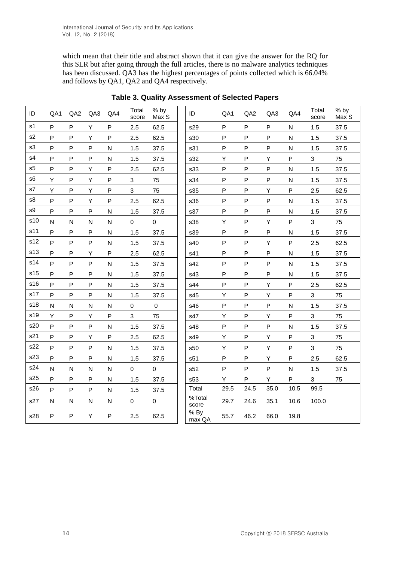which mean that their title and abstract shown that it can give the answer for the RQ for this SLR but after going through the full articles, there is no malware analytics techniques has been discussed. QA3 has the highest percentages of points collected which is 66.04% and follows by QA1, QA2 and QA4 respectively.

| ID             | QA1          | QA <sub>2</sub> | QA3          | QA4          | Total<br>score            | % by<br>Max S | ID                             | QA1  | QA <sub>2</sub> | QA3          | QA4                     | Total<br>score | % by<br>Max S |
|----------------|--------------|-----------------|--------------|--------------|---------------------------|---------------|--------------------------------|------|-----------------|--------------|-------------------------|----------------|---------------|
| s <sub>1</sub> | P            | ${\sf P}$       | Y            | $\mathsf{P}$ | 2.5                       | 62.5          | s29                            | P    | ${\sf P}$       | ${\sf P}$    | ${\sf N}$               | 1.5            | 37.5          |
| s <sub>2</sub> | P            | P               | Y            | $\mathsf{P}$ | 2.5                       | 62.5          | s30                            | P    | $\mathsf{P}$    | ${\sf P}$    | $\overline{\mathsf{N}}$ | 1.5            | 37.5          |
| s3             | P            | P               | $\mathsf{P}$ | $\mathsf{N}$ | 1.5                       | 37.5          | s31                            | P    | ${\sf P}$       | ${\sf P}$    | ${\sf N}$               | 1.5            | 37.5          |
| s4             | P            | P               | P            | $\mathsf{N}$ | 1.5                       | 37.5          | s32                            | Υ    | $\mathsf{P}$    | Υ            | $\mathsf{P}$            | 3              | 75            |
| s5             | P            | P               | Y            | $\mathsf{P}$ | 2.5                       | 62.5          | s33                            | P    | $\mathsf{P}$    | $\mathsf{P}$ | $\mathsf{N}$            | 1.5            | 37.5          |
| s <sub>6</sub> | Υ            | ${\sf P}$       | Y            | $\mathsf{P}$ | $\mathbf 3$               | 75            | s34                            | P    | $\mathsf{P}$    | $\mathsf{P}$ | $\overline{\mathsf{N}}$ | 1.5            | 37.5          |
| s7             | Υ            | ${\sf P}$       | Υ            | $\mathsf{P}$ | 3                         | 75            | s35                            | P    | ${\sf P}$       | Υ            | $\sf P$                 | 2.5            | 62.5          |
| s8             | P            | P               | Υ            | P            | 2.5                       | 62.5          | s36                            | P    | ${\sf P}$       | P            | ${\sf N}$               | 1.5            | 37.5          |
| s9             | $\mathsf{P}$ | ${\sf P}$       | $\sf P$      | $\mathsf{N}$ | 1.5                       | 37.5          | s37                            | P    | ${\sf P}$       | ${\sf P}$    | ${\sf N}$               | 1.5            | 37.5          |
| s10            | N            | N               | $\mathsf{N}$ | ${\sf N}$    | 0                         | $\mathsf 0$   | s38                            | Υ    | ${\sf P}$       | Υ            | $\sf P$                 | 3              | 75            |
| s11            | P            | ${\sf P}$       | ${\sf P}$    | $\mathsf{N}$ | 1.5                       | 37.5          | s39                            | P    | ${\sf P}$       | ${\sf P}$    | ${\sf N}$               | 1.5            | 37.5          |
| s12            | P            | P               | P            | $\mathsf{N}$ | 1.5                       | 37.5          | s40                            | P    | ${\sf P}$       | Υ            | ${\sf P}$               | 2.5            | 62.5          |
| s13            | P            | ${\sf P}$       | Y            | ${\sf P}$    | 2.5                       | 62.5          | s41                            | P    | ${\sf P}$       | ${\sf P}$    | ${\sf N}$               | 1.5            | 37.5          |
| s14            | P            | P               | $\mathsf{P}$ | $\mathsf{N}$ | 1.5                       | 37.5          | s42                            | P    | $\mathsf{P}$    | ${\sf P}$    | $\mathsf{N}$            | 1.5            | 37.5          |
| s15            | P            | ${\sf P}$       | $\mathsf{P}$ | $\mathsf{N}$ | 1.5                       | 37.5          | s43                            | P    | ${\sf P}$       | ${\sf P}$    | ${\sf N}$               | 1.5            | 37.5          |
| s16            | P            | P               | P            | $\mathsf{N}$ | 1.5                       | 37.5          | s44                            | P    | $\mathsf{P}$    | Υ            | $\sf P$                 | 2.5            | 62.5          |
| s17            | P            | ${\sf P}$       | $\sf P$      | ${\sf N}$    | 1.5                       | 37.5          | s45                            | Υ    | ${\sf P}$       | Υ            | ${\sf P}$               | 3              | 75            |
| s18            | N            | N               | N            | $\mathsf{N}$ | 0                         | $\mathbf 0$   | s46                            | P    | ${\sf P}$       | P            | ${\sf N}$               | 1.5            | 37.5          |
| s19            | Υ            | ${\sf P}$       | Υ            | ${\sf P}$    | $\ensuremath{\mathsf{3}}$ | 75            | s47                            | Υ    | ${\sf P}$       | Υ            | ${\sf P}$               | 3              | 75            |
| s20            | P            | P               | P            | $\mathsf{N}$ | 1.5                       | 37.5          | s48                            | P    | ${\sf P}$       | P            | $\mathsf{N}$            | 1.5            | 37.5          |
| s21            | P            | P               | Y            | $\sf P$      | 2.5                       | 62.5          | s49                            | Υ    | ${\sf P}$       | Υ            | ${\sf P}$               | 3              | 75            |
| s22            | P            | $\sf P$         | $\sf P$      | $\mathsf{N}$ | 1.5                       | 37.5          | s50                            | Υ    | ${\sf P}$       | Υ            | ${\sf P}$               | 3              | 75            |
| s23            | P            | ${\sf P}$       | $\mathsf{P}$ | $\mathsf{N}$ | 1.5                       | 37.5          | s51                            | P    | ${\sf P}$       | Υ            | ${\sf P}$               | 2.5            | 62.5          |
| s24            | N            | N               | $\mathsf{N}$ | $\mathsf{N}$ | 0                         | $\mathsf 0$   | s52                            | P    | $\mathsf{P}$    | ${\sf P}$    | ${\sf N}$               | 1.5            | 37.5          |
| s25            | P            | ${\sf P}$       | $\mathsf{P}$ | $\mathsf{N}$ | 1.5                       | 37.5          | s53                            | Υ    | ${\sf P}$       | Υ            | $\sf P$                 | 3              | 75            |
| s26            | P            | P               | P            | $\mathsf{N}$ | 1.5                       | 37.5          | Total                          | 29.5 | 24.5            | 35.0         | 10.5                    | 99.5           |               |
| s27            | ${\sf N}$    | N               | ${\sf N}$    | ${\sf N}$    | $\mathsf 0$               | $\mathbf 0$   | $\overline{\%}$ Total<br>score | 29.7 | 24.6            | 35.1         | 10.6                    | 100.0          |               |
| s28            | P            | ${\sf P}$       | Υ            | P            | 2.5                       | 62.5          | $%$ By<br>max QA               | 55.7 | 46.2            | 66.0         | 19.8                    |                |               |

**Table 3. Quality Assessment of Selected Papers**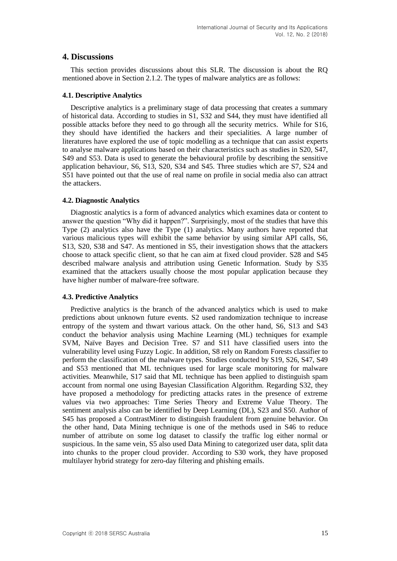# **4. Discussions**

This section provides discussions about this SLR. The discussion is about the RQ mentioned above in Section 2.1.2. The types of malware analytics are as follows:

### **4.1. Descriptive Analytics**

Descriptive analytics is a preliminary stage of data processing that creates a summary of historical data. According to studies in S1, S32 and S44, they must have identified all possible attacks before they need to go through all the security metrics. While for S16, they should have identified the hackers and their specialities. A large number of literatures have explored the use of topic modelling as a technique that can assist experts to analyse malware applications based on their characteristics such as studies in S20, S47, S49 and S53. Data is used to generate the behavioural profile by describing the sensitive application behaviour, S6, S13, S20, S34 and S45. Three studies which are S7, S24 and S51 have pointed out that the use of real name on profile in social media also can attract the attackers.

## **4.2. Diagnostic Analytics**

Diagnostic analytics is a form of advanced analytics which examines data or content to answer the question "Why did it happen?". Surprisingly, most of the studies that have this Type (2) analytics also have the Type (1) analytics. Many authors have reported that various malicious types will exhibit the same behavior by using similar API calls, S6, S13, S20, S38 and S47. As mentioned in S5, their investigation shows that the attackers choose to attack specific client, so that he can aim at fixed cloud provider. S28 and S45 described malware analysis and attribution using Genetic Information. Study by S35 examined that the attackers usually choose the most popular application because they have higher number of malware-free software.

## **4.3. Predictive Analytics**

Predictive analytics is the branch of the advanced analytics which is used to make predictions about unknown future events. S2 used randomization technique to increase entropy of the system and thwart various attack. On the other hand, S6, S13 and S43 conduct the behavior analysis using Machine Learning (ML) techniques for example SVM, Naïve Bayes and Decision Tree. S7 and S11 have classified users into the vulnerability level using Fuzzy Logic. In addition, S8 rely on Random Forests classifier to perform the classification of the malware types. Studies conducted by S19, S26, S47, S49 and S53 mentioned that ML techniques used for large scale monitoring for malware activities. Meanwhile, S17 said that ML technique has been applied to distinguish spam account from normal one using Bayesian Classification Algorithm. Regarding S32, they have proposed a methodology for predicting attacks rates in the presence of extreme values via two approaches: Time Series Theory and Extreme Value Theory. The sentiment analysis also can be identified by Deep Learning (DL), S23 and S50. Author of S45 has proposed a ContrastMiner to distinguish fraudulent from genuine behavior. On the other hand, Data Mining technique is one of the methods used in S46 to reduce number of attribute on some log dataset to classify the traffic log either normal or suspicious. In the same vein, S5 also used Data Mining to categorized user data, split data into chunks to the proper cloud provider. According to S30 work, they have proposed multilayer hybrid strategy for zero-day filtering and phishing emails.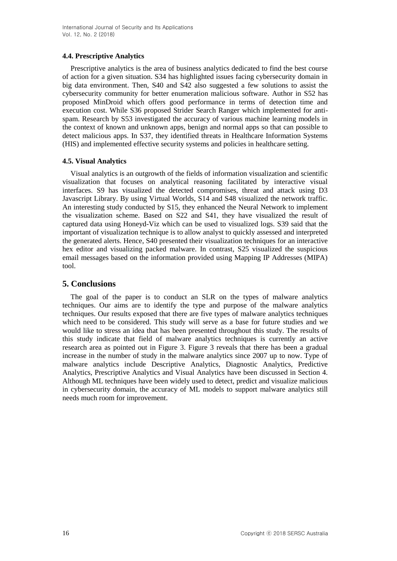## **4.4. Prescriptive Analytics**

Prescriptive analytics is the area of business analytics dedicated to find the best course of action for a given situation. S34 has highlighted issues facing cybersecurity domain in big data environment. Then, S40 and S42 also suggested a few solutions to assist the cybersecurity community for better enumeration malicious software. Author in S52 has proposed MinDroid which offers good performance in terms of detection time and execution cost. While S36 proposed Strider Search Ranger which implemented for antispam. Research by S53 investigated the accuracy of various machine learning models in the context of known and unknown apps, benign and normal apps so that can possible to detect malicious apps. In S37, they identified threats in Healthcare Information Systems (HIS) and implemented effective security systems and policies in healthcare setting.

## **4.5. Visual Analytics**

Visual analytics is an outgrowth of the fields of information visualization and scientific visualization that focuses on analytical reasoning facilitated by interactive visual interfaces. S9 has visualized the detected compromises, threat and attack using D3 Javascript Library. By using Virtual Worlds, S14 and S48 visualized the network traffic. An interesting study conducted by S15, they enhanced the Neural Network to implement the visualization scheme. Based on S22 and S41, they have visualized the result of captured data using Honeyd-Viz which can be used to visualized logs. S39 said that the important of visualization technique is to allow analyst to quickly assessed and interpreted the generated alerts. Hence, S40 presented their visualization techniques for an interactive hex editor and visualizing packed malware. In contrast, S25 visualized the suspicious email messages based on the information provided using Mapping IP Addresses (MIPA) tool.

# **5. Conclusions**

The goal of the paper is to conduct an SLR on the types of malware analytics techniques. Our aims are to identify the type and purpose of the malware analytics techniques. Our results exposed that there are five types of malware analytics techniques which need to be considered. This study will serve as a base for future studies and we would like to stress an idea that has been presented throughout this study. The results of this study indicate that field of malware analytics techniques is currently an active research area as pointed out in Figure 3. Figure 3 reveals that there has been a gradual increase in the number of study in the malware analytics since 2007 up to now. Type of malware analytics include Descriptive Analytics, Diagnostic Analytics, Predictive Analytics, Prescriptive Analytics and Visual Analytics have been discussed in Section 4. Although ML techniques have been widely used to detect, predict and visualize malicious in cybersecurity domain, the accuracy of ML models to support malware analytics still needs much room for improvement.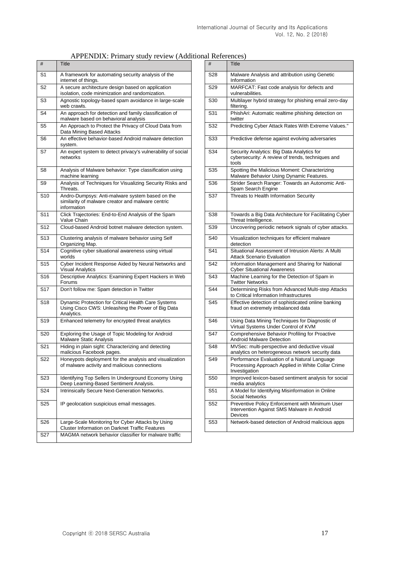| APPENDIX: Primary study review (Additional References) |  |  |
|--------------------------------------------------------|--|--|
|--------------------------------------------------------|--|--|

| #               | <b>Title</b>                                                                                                           | #               | Title                                                                                                              |
|-----------------|------------------------------------------------------------------------------------------------------------------------|-----------------|--------------------------------------------------------------------------------------------------------------------|
| S <sub>1</sub>  | A framework for automating security analysis of the<br>internet of things.                                             | S28             | Malware Analysis and attribution using Genetic<br>Information                                                      |
| S <sub>2</sub>  | A secure architecture design based on application<br>isolation, code minimization and randomization.                   | S <sub>29</sub> | MARFCAT: Fast code analysis for defects and<br>vulnerabilities.                                                    |
| S3              | Agnostic topology-based spam avoidance in large-scale<br>web crawls.                                                   | S <sub>30</sub> | Multilayer hybrid strategy for phishing email zero-day<br>filtering.                                               |
| S4              | An approach for detection and family classification of<br>malware based on behavioral analysis                         | S31             | PhishAri: Automatic realtime phishing detection on<br>twitter                                                      |
| S5              | An Approach to Protect the Privacy of Cloud Data from<br>Data Mining Based Attacks                                     | S32             | Predicting Cyber Attack Rates With Extreme Values.'                                                                |
| S6              | An effective behavior-based Android malware detection<br>svstem.                                                       | S33             | Predictive defense against evolving adversaries                                                                    |
| S7              | An expert system to detect privacy's vulnerability of social<br>networks                                               | S34             | Security Analytics: Big Data Analytics for<br>cybersecurity: A review of trends, techniques and<br>tools           |
| S8              | Analysis of Malware behavior: Type classification using<br>machine learning                                            | S <sub>35</sub> | Spotting the Malicious Moment: Characterizing<br>Malware Behavior Using Dynamic Features.                          |
| S9              | Analysis of Techniques for Visualizing Security Risks and<br>Threats.                                                  | S36             | Strider Search Ranger: Towards an Autonomic Anti-<br>Spam Search Engine                                            |
| S <sub>10</sub> | Andro-Dumpsys: Anti-malware system based on the<br>similarity of malware creator and malware centric<br>information    | S37             | Threats to Health Information Security                                                                             |
| S <sub>11</sub> | Click Trajectories: End-to-End Analysis of the Spam<br>Value Chain                                                     | S38             | Towards a Big Data Architecture for Facilitating Cybe<br>Threat Intelligence.                                      |
| S <sub>12</sub> | Cloud-based Android botnet malware detection system.                                                                   | S39             | Uncovering periodic network signals of cyber attacks.                                                              |
| S <sub>13</sub> | Clustering analysis of malware behavior using Self<br>Organizing Map.                                                  | S <sub>40</sub> | Visualization techniques for efficient malware<br>detection                                                        |
| S <sub>14</sub> | Cognitive cyber situational awareness using virtual<br>worlds                                                          | S41             | Situational Assessment of Intrusion Alerts: A Multi<br><b>Attack Scenario Evaluation</b>                           |
| S <sub>15</sub> | Cyber Incident Response Aided by Neural Networks and<br><b>Visual Analytics</b>                                        | S42             | Information Management and Sharing for National<br><b>Cyber Situational Awareness</b>                              |
| S <sub>16</sub> | Descriptive Analytics: Examining Expert Hackers in Web<br>Forums                                                       | S43             | Machine Learning for the Detection of Spam in<br><b>Twitter Networks</b>                                           |
| S <sub>17</sub> | Don't follow me: Spam detection in Twitter                                                                             | S44             | Determining Risks from Advanced Multi-step Attacks<br>to Critical Information Infrastructures                      |
| S <sub>18</sub> | Dynamic Protection for Critical Health Care Systems<br>Using Cisco CWS: Unleashing the Power of Big Data<br>Analytics. | S45             | Effective detection of sophisticated online banking<br>fraud on extremely imbalanced data                          |
| S <sub>19</sub> | Enhanced telemetry for encrypted threat analytics                                                                      | S46             | Using Data Mining Techniques for Diagnostic of<br>Virtual Systems Under Control of KVM                             |
| S <sub>20</sub> | Exploring the Usage of Topic Modeling for Android<br>Malware Static Analysis                                           | S47             | Comprehensive Behavior Profiling for Proactive<br><b>Android Malware Detection</b>                                 |
| S <sub>21</sub> | Hiding in plain sight: Characterizing and detecting<br>malicious Facebook pages.                                       | S48             | MVSec: multi-perspective and deductive visual<br>analytics on heterogeneous network security data                  |
| S <sub>22</sub> | Honeypots deployment for the analysis and visualization<br>of malware activity and malicious connections               | S49             | Performance Evaluation of a Natural Language<br>Processing Approach Applied in White Collar Crime<br>Investigation |
| S23             | Identifying Top Sellers In Underground Economy Using<br>Deep Learning-Based Sentiment Analysis.                        | S <sub>50</sub> | Improved lexicon-based sentiment analysis for social<br>media analytics                                            |
| S24             | Intrinsically Secure Next-Generation Networks.                                                                         | S51             | A Model for Identifying Misinformation in Online<br>Social Networks                                                |
| S <sub>25</sub> | IP geolocation suspicious email messages.                                                                              | S <sub>52</sub> | Preventive Policy Enforcement with Minimum User<br>Intervention Against SMS Malware in Android<br>Devices          |
| S <sub>26</sub> | Large-Scale Monitoring for Cyber Attacks by Using<br><b>Cluster Information on Darknet Traffic Features</b>            | S53             | Network-based detection of Android malicious apps                                                                  |
| S27             | MAGMA network behavior classifier for malware traffic                                                                  |                 |                                                                                                                    |

| al Inchetations |                                                                                                                    |
|-----------------|--------------------------------------------------------------------------------------------------------------------|
| #               | Title                                                                                                              |
| S28             | Malware Analysis and attribution using Genetic<br>Information                                                      |
| S29             | MARFCAT: Fast code analysis for defects and<br>vulnerabilities.                                                    |
| S30             | Multilayer hybrid strategy for phishing email zero-day<br>filtering.                                               |
| S31             | PhishAri: Automatic realtime phishing detection on<br>twitter                                                      |
| S32             | Predicting Cyber Attack Rates With Extreme Values."                                                                |
| S33             | Predictive defense against evolving adversaries                                                                    |
| S34             | Security Analytics: Big Data Analytics for<br>cybersecurity: A review of trends, techniques and<br>tools           |
| S35             | Spotting the Malicious Moment: Characterizing<br>Malware Behavior Using Dynamic Features.                          |
| S36             | Strider Search Ranger: Towards an Autonomic Anti-<br>Spam Search Engine                                            |
| S37             | Threats to Health Information Security                                                                             |
| S38             | Towards a Big Data Architecture for Facilitating Cyber<br>Threat Intelligence.                                     |
| S39             | Uncovering periodic network signals of cyber attacks.                                                              |
| S40             | Visualization techniques for efficient malware<br>detection                                                        |
| S41             | Situational Assessment of Intrusion Alerts: A Multi<br><b>Attack Scenario Evaluation</b>                           |
| S42             | Information Management and Sharing for National<br><b>Cyber Situational Awareness</b>                              |
| S43             | Machine Learning for the Detection of Spam in<br><b>Twitter Networks</b>                                           |
| S44             | Determining Risks from Advanced Multi-step Attacks<br>to Critical Information Infrastructures                      |
| S45             | Effective detection of sophisticated online banking<br>fraud on extremely imbalanced data                          |
| S46             | Using Data Mining Techniques for Diagnostic of<br>Virtual Systems Under Control of KVM                             |
| S47             | Comprehensive Behavior Profiling for Proactive<br>Android Malware Detection                                        |
| S48             | MVSec: multi-perspective and deductive visual<br>analytics on heterogeneous network security data                  |
| S49             | Performance Evaluation of a Natural Language<br>Processing Approach Applied in White Collar Crime<br>Investigation |
| S50             | Improved lexicon-based sentiment analysis for social<br>media analytics                                            |
| S51             | A Model for Identifying Misinformation in Online<br><b>Social Networks</b>                                         |
| S52             | Preventive Policy Enforcement with Minimum User<br>Intervention Against SMS Malware in Android<br>Devices          |
| S53             | Network-based detection of Android malicious apps                                                                  |